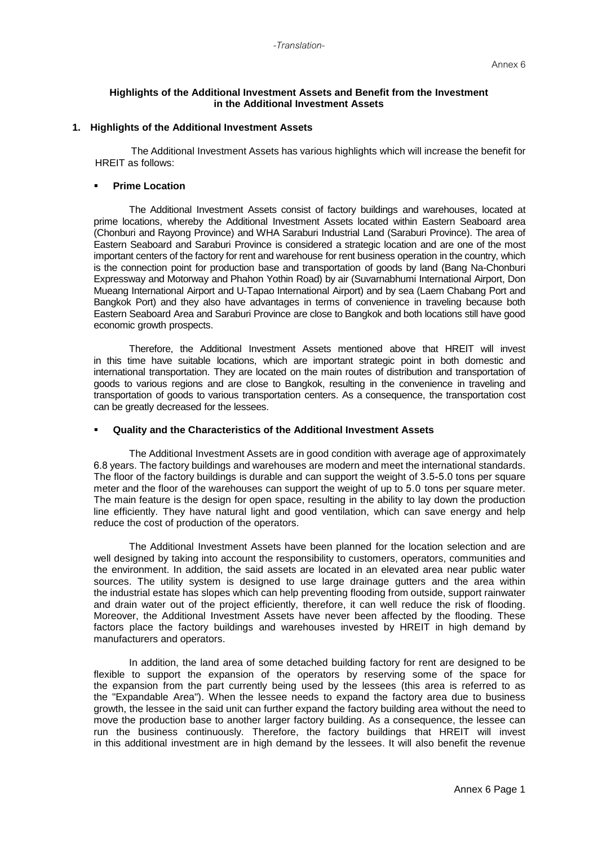## **Highlights of the Additional Investment Assets and Benefit from the Investment in the Additional Investment Assets**

# **1. Highlights of the Additional Investment Assets**

The Additional Investment Assets has various highlights which will increase the benefit for HREIT as follows:

#### **Prime Location**

The Additional Investment Assets consist of factory buildings and warehouses, located at prime locations, whereby the Additional Investment Assets located within Eastern Seaboard area (Chonburi and Rayong Province) and WHA Saraburi Industrial Land (Saraburi Province). The area of Eastern Seaboard and Saraburi Province is considered a strategic location and are one of the most important centers of the factory for rent and warehouse for rent business operation in the country, which is the connection point for production base and transportation of goods by land (Bang Na-Chonburi Expressway and Motorway and Phahon Yothin Road) by air (Suvarnabhumi International Airport, Don Mueang International Airport and U-Tapao International Airport) and by sea (Laem Chabang Port and Bangkok Port) and they also have advantages in terms of convenience in traveling because both Eastern Seaboard Area and Saraburi Province are close to Bangkok and both locations still have good economic growth prospects.

Therefore, the Additional Investment Assets mentioned above that HREIT will invest in this time have suitable locations, which are important strategic point in both domestic and international transportation. They are located on the main routes of distribution and transportation of goods to various regions and are close to Bangkok, resulting in the convenience in traveling and transportation of goods to various transportation centers. As a consequence, the transportation cost can be greatly decreased for the lessees.

### **Quality and the Characteristics of the Additional Investment Assets**

The Additional Investment Assets are in good condition with average age of approximately 6.8 years. The factory buildings and warehouses are modern and meet the international standards. The floor of the factory buildings is durable and can support the weight of 3.5-5.0 tons per square meter and the floor of the warehouses can support the weight of up to 5.0 tons per square meter. The main feature is the design for open space, resulting in the ability to lay down the production line efficiently. They have natural light and good ventilation, which can save energy and help reduce the cost of production of the operators.

The Additional Investment Assets have been planned for the location selection and are well designed by taking into account the responsibility to customers, operators, communities and the environment. In addition, the said assets are located in an elevated area near public water sources. The utility system is designed to use large drainage gutters and the area within the industrial estate has slopes which can help preventing flooding from outside, support rainwater and drain water out of the project efficiently, therefore, it can well reduce the risk of flooding. Moreover, the Additional Investment Assets have never been affected by the flooding. These factors place the factory buildings and warehouses invested by HREIT in high demand by manufacturers and operators.

In addition, the land area of some detached building factory for rent are designed to be flexible to support the expansion of the operators by reserving some of the space for the expansion from the part currently being used by the lessees (this area is referred to as the "Expandable Area"). When the lessee needs to expand the factory area due to business growth, the lessee in the said unit can further expand the factory building area without the need to move the production base to another larger factory building. As a consequence, the lessee can run the business continuously. Therefore, the factory buildings that HREIT will invest in this additional investment are in high demand by the lessees. It will also benefit the revenue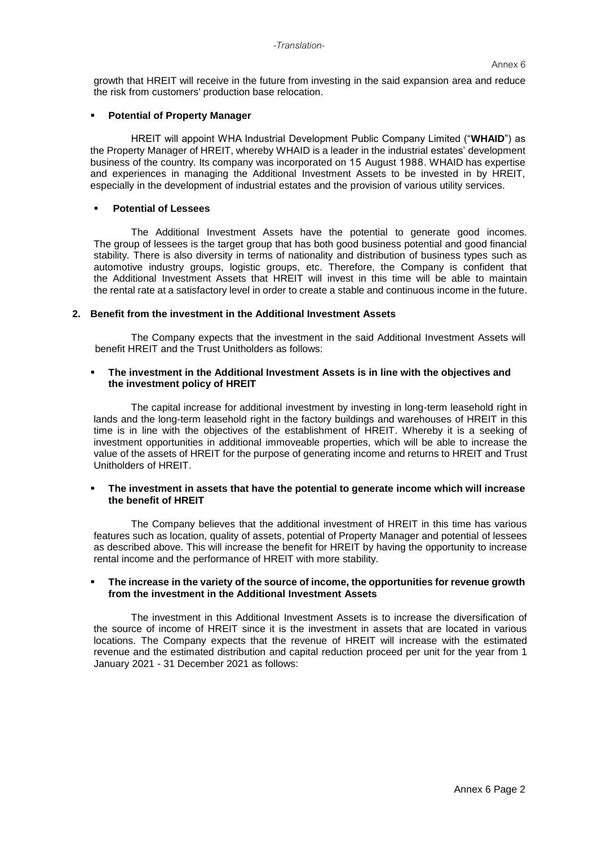growth that HREIT will receive in the future from investing in the said expansion area and reduce the risk from customers' production base relocation.

#### **Potential of Property Manager**

HREIT will appoint WHA Industrial Development Public Company Limited ("**WHAID**") as the Property Manager of HREIT, whereby WHAID is a leader in the industrial estates' development business of the country. Its company was incorporated on 15 August 1988. WHAID has expertise and experiences in managing the Additional Investment Assets to be invested in by HREIT, especially in the development of industrial estates and the provision of various utility services.

#### **Potential of Lessees**

The Additional Investment Assets have the potential to generate good incomes. The group of lessees is the target group that has both good business potential and good financial stability. There is also diversity in terms of nationality and distribution of business types such as automotive industry groups, logistic groups, etc. Therefore, the Company is confident that the Additional Investment Assets that HREIT will invest in this time will be able to maintain the rental rate at a satisfactory level in order to create a stable and continuous income in the future.

## **2. Benefit from the investment in the Additional Investment Assets**

The Company expects that the investment in the said Additional Investment Assets will benefit HREIT and the Trust Unitholders as follows:

# **The investment in the Additional Investment Assets is in line with the objectives and the investment policy of HREIT**

The capital increase for additional investment by investing in long-term leasehold right in lands and the long-term leasehold right in the factory buildings and warehouses of HREIT in this time is in line with the objectives of the establishment of HREIT. Whereby it is a seeking of investment opportunities in additional immoveable properties, which will be able to increase the value of the assets of HREIT for the purpose of generating income and returns to HREIT and Trust Unitholders of HREIT.

## **The investment in assets that have the potential to generate income which will increase the benefit of HREIT**

The Company believes that the additional investment of HREIT in this time has various features such as location, quality of assets, potential of Property Manager and potential of lessees as described above. This will increase the benefit for HREIT by having the opportunity to increase rental income and the performance of HREIT with more stability.

### **The increase in the variety of the source of income, the opportunities for revenue growth from the investment in the Additional Investment Assets**

The investment in this Additional Investment Assets is to increase the diversification of the source of income of HREIT since it is the investment in assets that are located in various locations. The Company expects that the revenue of HREIT will increase with the estimated revenue and the estimated distribution and capital reduction proceed per unit for the year from 1 January 2021 - 31 December 2021 as follows: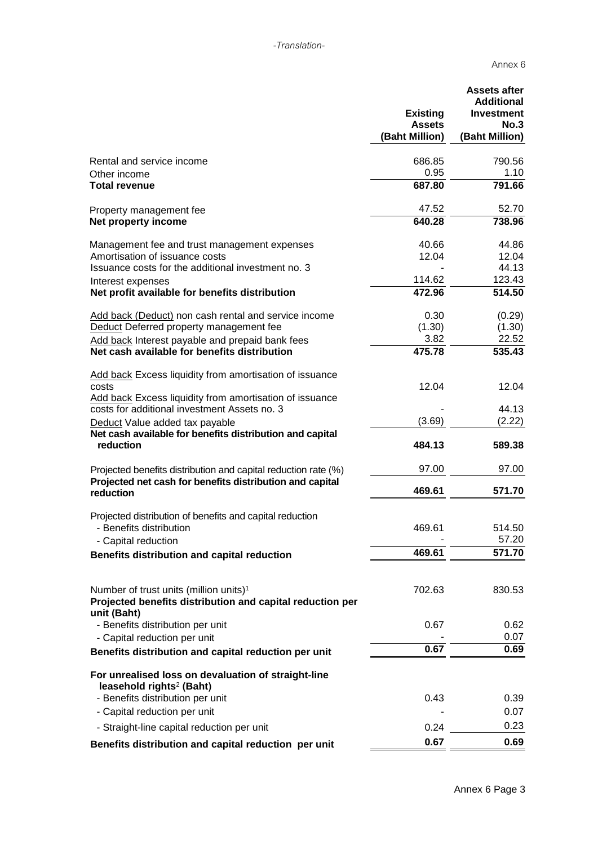|                                                                                                                                | <b>Existing</b><br><b>Assets</b><br>(Baht Million) | <b>Assets after</b><br><b>Additional</b><br><b>Investment</b><br>No.3<br>(Baht Million) |
|--------------------------------------------------------------------------------------------------------------------------------|----------------------------------------------------|-----------------------------------------------------------------------------------------|
| Rental and service income                                                                                                      | 686.85                                             | 790.56                                                                                  |
| Other income                                                                                                                   | 0.95                                               | 1.10                                                                                    |
| <b>Total revenue</b>                                                                                                           | 687.80                                             | 791.66                                                                                  |
| Property management fee                                                                                                        | 47.52                                              | 52.70                                                                                   |
| Net property income                                                                                                            | 640.28                                             | 738.96                                                                                  |
| Management fee and trust management expenses                                                                                   | 40.66                                              | 44.86                                                                                   |
| Amortisation of issuance costs                                                                                                 | 12.04                                              | 12.04                                                                                   |
| Issuance costs for the additional investment no. 3                                                                             |                                                    | 44.13                                                                                   |
| Interest expenses                                                                                                              | 114.62                                             | 123.43                                                                                  |
| Net profit available for benefits distribution                                                                                 | 472.96                                             | 514.50                                                                                  |
| Add back (Deduct) non cash rental and service income                                                                           | 0.30                                               | (0.29)                                                                                  |
| Deduct Deferred property management fee                                                                                        | (1.30)                                             | (1.30)                                                                                  |
| Add back Interest payable and prepaid bank fees                                                                                | 3.82                                               | 22.52                                                                                   |
| Net cash available for benefits distribution                                                                                   | 475.78                                             | 535.43                                                                                  |
| <b>Add back Excess liquidity from amortisation of issuance</b><br>costs                                                        | 12.04                                              | 12.04                                                                                   |
| Add back Excess liquidity from amortisation of issuance<br>costs for additional investment Assets no. 3                        |                                                    | 44.13                                                                                   |
| Deduct Value added tax payable                                                                                                 | (3.69)                                             | (2.22)                                                                                  |
| Net cash available for benefits distribution and capital<br>reduction                                                          | 484.13                                             | 589.38                                                                                  |
| Projected benefits distribution and capital reduction rate (%)                                                                 | 97.00                                              | 97.00                                                                                   |
| Projected net cash for benefits distribution and capital<br>reduction                                                          | 469.61                                             | 571.70                                                                                  |
| Projected distribution of benefits and capital reduction<br>- Benefits distribution<br>- Capital reduction                     | 469.61                                             | 514.50<br>57.20                                                                         |
| Benefits distribution and capital reduction                                                                                    | 469.61                                             | 571.70                                                                                  |
|                                                                                                                                |                                                    |                                                                                         |
| Number of trust units (million units) <sup>1</sup><br>Projected benefits distribution and capital reduction per<br>unit (Baht) | 702.63                                             | 830.53                                                                                  |
| - Benefits distribution per unit                                                                                               | 0.67                                               | 0.62                                                                                    |
| - Capital reduction per unit                                                                                                   |                                                    | 0.07                                                                                    |
| Benefits distribution and capital reduction per unit                                                                           | 0.67                                               | 0.69                                                                                    |
| For unrealised loss on devaluation of straight-line<br>leasehold rights <sup>2</sup> (Baht)                                    |                                                    |                                                                                         |
| - Benefits distribution per unit                                                                                               | 0.43                                               | 0.39                                                                                    |
| - Capital reduction per unit                                                                                                   |                                                    | 0.07                                                                                    |
| - Straight-line capital reduction per unit                                                                                     | 0.24                                               | 0.23                                                                                    |
| Benefits distribution and capital reduction per unit                                                                           | 0.67                                               | 0.69                                                                                    |